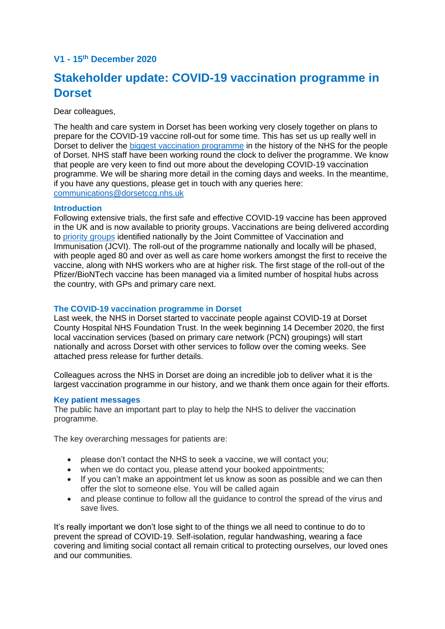## **V1 - 15 th December 2020**

# **Stakeholder update: COVID-19 vaccination programme in Dorset**

Dear colleagues.

The health and care system in Dorset has been working very closely together on plans to prepare for the COVID-19 vaccine roll-out for some time. This has set us up really well in Dorset to deliver the [biggest vaccination programme](https://www.dorsetccg.nhs.uk/nhs-in-dorset-starts-biggest-ever-nhs-vaccination-programme-this-week/) in the history of the NHS for the people of Dorset. NHS staff have been working round the clock to deliver the programme. We know that people are very keen to find out more about the developing COVID-19 vaccination programme. We will be sharing more detail in the coming days and weeks. In the meantime, if you have any questions, please get in touch with any queries here: [communications@dorsetccg.nhs.uk](mailto:communications@dorsetccg.nhs.uk)

## **Introduction**

Following extensive trials, the first safe and effective COVID-19 vaccine has been approved in the UK and is now available to priority groups. Vaccinations are being delivered according to [priority groups](https://www.gov.uk/government/publications/covid-19-vaccination-why-you-are-being-asked-to-wait/why-you-have-to-wait-for-your-covid-19-vaccine) identified nationally by the Joint Committee of Vaccination and Immunisation (JCVI). The roll-out of the programme nationally and locally will be phased, with people aged 80 and over as well as care home workers amongst the first to receive the vaccine, along with NHS workers who are at higher risk. The first stage of the roll-out of the Pfizer/BioNTech vaccine has been managed via a limited number of hospital hubs across the country, with GPs and primary care next.

## **The COVID-19 vaccination programme in Dorset**

Last week, the NHS in Dorset started to vaccinate people against COVID-19 at Dorset County Hospital NHS Foundation Trust. In the week beginning 14 December 2020, the first local vaccination services (based on primary care network (PCN) groupings) will start nationally and across Dorset with other services to follow over the coming weeks. See attached press release for further details.

Colleagues across the NHS in Dorset are doing an incredible job to deliver what it is the largest vaccination programme in our history, and we thank them once again for their efforts.

## **Key patient messages**

The public have an important part to play to help the NHS to deliver the vaccination programme.

The key overarching messages for patients are:

- please don't contact the NHS to seek a vaccine, we will contact you;
- when we do contact you, please attend your booked appointments;
- If you can't make an appointment let us know as soon as possible and we can then offer the slot to someone else. You will be called again
- and please continue to follow all the guidance to control the spread of the virus and save lives.

It's really important we don't lose sight to of the things we all need to continue to do to prevent the spread of COVID-19. Self-isolation, regular handwashing, wearing a face covering and limiting social contact all remain critical to protecting ourselves, our loved ones and our communities.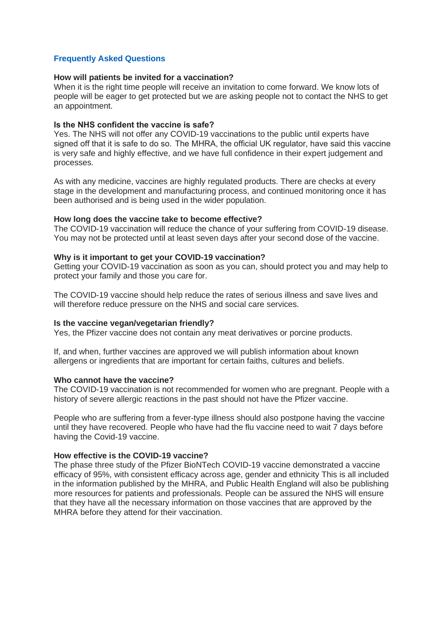## **Frequently Asked Questions**

## **How will patients be invited for a vaccination?**

When it is the right time people will receive an invitation to come forward. We know lots of people will be eager to get protected but we are asking people not to contact the NHS to get an appointment.

#### **Is the NHS confident the vaccine is safe?**

Yes. The NHS will not offer any COVID-19 vaccinations to the public until experts have signed off that it is safe to do so.  The MHRA, the official UK regulator, have said this vaccine is very safe and highly effective, and we have full confidence in their expert judgement and processes.

As with any medicine, vaccines are highly regulated products. There are checks at every stage in the development and manufacturing process, and continued monitoring once it has been authorised and is being used in the wider population.

#### **How long does the vaccine take to become effective?**

The COVID-19 vaccination will reduce the chance of your suffering from COVID-19 disease. You may not be protected until at least seven days after your second dose of the vaccine.

#### **Why is it important to get your COVID-19 vaccination?**

Getting your COVID-19 vaccination as soon as you can, should protect you and may help to protect your family and those you care for.

The COVID-19 vaccine should help reduce the rates of serious illness and save lives and will therefore reduce pressure on the NHS and social care services.

#### **Is the vaccine vegan/vegetarian friendly?**

Yes, the Pfizer vaccine does not contain any meat derivatives or porcine products.

If, and when, further vaccines are approved we will publish information about known allergens or ingredients that are important for certain faiths, cultures and beliefs.

## **Who cannot have the vaccine?**

The COVID-19 vaccination is not recommended for women who are pregnant. People with a history of severe allergic reactions in the past should not have the Pfizer vaccine.

People who are suffering from a fever-type illness should also postpone having the vaccine until they have recovered. People who have had the flu vaccine need to wait 7 days before having the Covid-19 vaccine.

## **How effective is the COVID-19 vaccine?**

The phase three study of the Pfizer BioNTech COVID-19 vaccine demonstrated a vaccine efficacy of 95%, with consistent efficacy across age, gender and ethnicity This is all included in the information published by the MHRA, and Public Health England will also be publishing more resources for patients and professionals. People can be assured the NHS will ensure that they have all the necessary information on those vaccines that are approved by the MHRA before they attend for their vaccination.